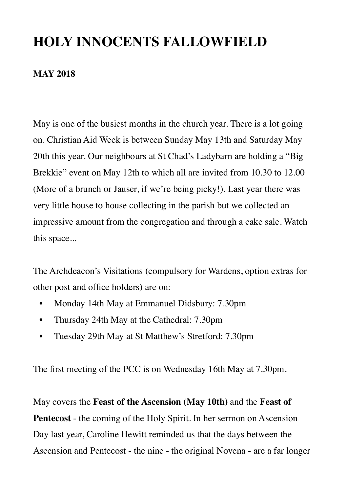## **HOLY INNOCENTS FALLOWFIELD**

#### **MAY 2018**

May is one of the busiest months in the church year. There is a lot going on. Christian Aid Week is between Sunday May 13th and Saturday May 20th this year. Our neighbours at St Chad's Ladybarn are holding a "Big Brekkie" event on May 12th to which all are invited from 10.30 to 12.00 (More of a brunch or Jauser, if we're being picky!). Last year there was very little house to house collecting in the parish but we collected an impressive amount from the congregation and through a cake sale. Watch this space...

The Archdeacon's Visitations (compulsory for Wardens, option extras for other post and office holders) are on:

- Monday 14th May at Emmanuel Didsbury: 7.30pm
- Thursday 24th May at the Cathedral: 7.30pm
- Tuesday 29th May at St Matthew's Stretford: 7.30pm

The first meeting of the PCC is on Wednesday 16th May at 7.30pm.

May covers the **Feast of the Ascension (May 10th)** and the **Feast of Pentecost** - the coming of the Holy Spirit. In her sermon on Ascension Day last year, Caroline Hewitt reminded us that the days between the Ascension and Pentecost - the nine - the original Novena - are a far longer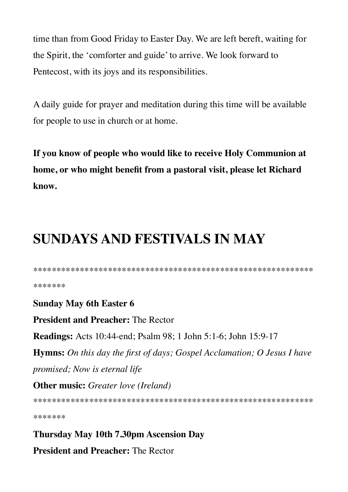time than from Good Friday to Easter Day. We are left bereft, waiting for the Spirit, the 'comforter and guide' to arrive. We look forward to Pentecost, with its joys and its responsibilities.

A daily guide for prayer and meditation during this time will be available for people to use in church or at home.

If you know of people who would like to receive Holy Communion at home, or who might benefit from a pastoral visit, please let Richard know.

# **SUNDAYS AND FESTIVALS IN MAY**

\*\*\*\*\*\*\*

**Sunday May 6th Easter 6 President and Preacher: The Rector Readings:** Acts 10:44-end; Psalm 98; 1 John 5:1-6; John 15:9-17 **Hymns:** On this day the first of days; Gospel Acclamation; O Jesus I have promised; Now is eternal life **Other music:** Greater love (Ireland)

\*\*\*\*\*\*\*

**Thursday May 10th 7.30pm Ascension Day President and Preacher: The Rector**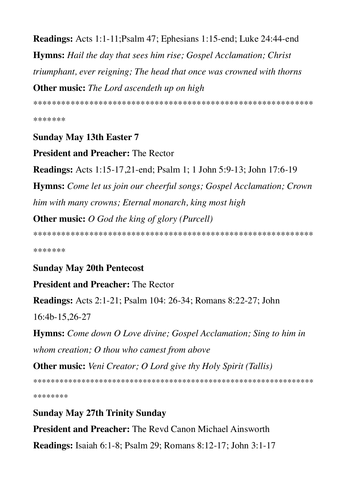**Readings:** Acts 1:1-11; Psalm 47; Ephesians 1:15-end; Luke 24:44-end **Hymns:** Hail the day that sees him rise; Gospel Acclamation; Christ triumphant, ever reigning; The head that once was crowned with thorns **Other music:** The Lord ascendeth up on high

\*\*\*\*\*\*\*

**Sunday May 13th Easter 7** 

**President and Preacher: The Rector** 

**Readings:** Acts 1:15-17,21-end; Psalm 1; 1 John 5:9-13; John 17:6-19 **Hymns:** Come let us join our cheerful songs; Gospel Acclamation; Crown him with many crowns; Eternal monarch, king most high **Other music:** O God the king of glory (Purcell)

\*\*\*\*\*\*\*

## **Sunday May 20th Pentecost**

## **President and Preacher: The Rector**

**Readings:** Acts 2:1-21; Psalm 104: 26-34; Romans 8:22-27; John

16:4b-15,26-27

**Hymns:** Come down O Love divine; Gospel Acclamation; Sing to him in whom creation; O thou who camest from above

**Other music:** Veni Creator; O Lord give thy Holy Spirit (Tallis)

\*\*\*\*\*\*\*\*

**Sunday May 27th Trinity Sunday** 

## **President and Preacher:** The Revd Canon Michael Ainsworth

**Readings:** Isaiah 6:1-8; Psalm 29; Romans 8:12-17; John 3:1-17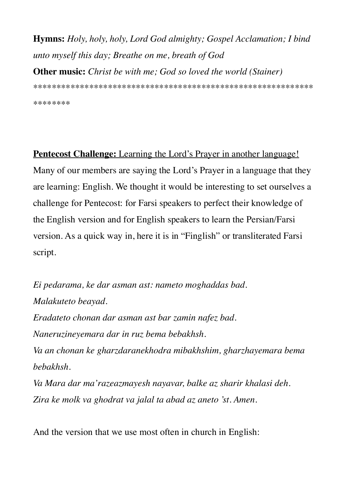**Hymns:** *Holy, holy, holy, Lord God almighty; Gospel Acclamation; I bind unto myself this day; Breathe on me, breath of God* **Other music:** *Christ be with me; God so loved the world (Stainer)*

\*\*\*\*\*\*\*\*\*\*\*\*\*\*\*\*\*\*\*\*\*\*\*\*\*\*\*\*\*\*\*\*\*\*\*\*\*\*\*\*\*\*\*\*\*\*\*\*\*\*\*\*\*\*\*\*\*\*\*\*

\*\*\*\*\*\*\*\*

**Pentecost Challenge:** Learning the Lord's Prayer in another language! Many of our members are saying the Lord's Prayer in a language that they are learning: English. We thought it would be interesting to set ourselves a challenge for Pentecost: for Farsi speakers to perfect their knowledge of the English version and for English speakers to learn the Persian/Farsi version. As a quick way in, here it is in "Finglish" or transliterated Farsi script.

*Ei pedarama, ke dar asman ast: nameto moghaddas bad. Malakuteto beayad. Eradateto chonan dar asman ast bar zamin nafez bad. Naneruzineyemara dar in ruz bema bebakhsh. Va an chonan ke gharzdaranekhodra mibakhshim, gharzhayemara bema bebakhsh. Va Mara dar ma'razeazmayesh nayavar, balke az sharir khalasi deh. Zira ke molk va ghodrat va jalal ta abad az aneto 'st. Amen.*

And the version that we use most often in church in English: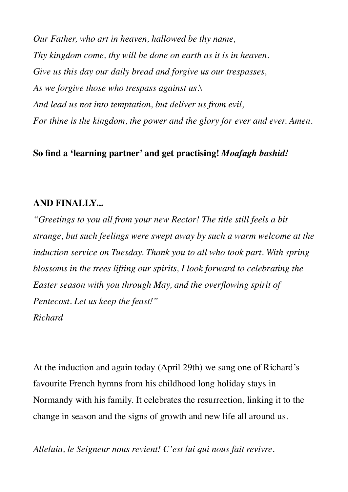*Our Father, who art in heaven, hallowed be thy name, Thy kingdom come, thy will be done on earth as it is in heaven. Give us this day our daily bread and forgive us our trespasses, As we forgive those who trespass against us.\ And lead us not into temptation, but deliver us from evil, For thine is the kingdom, the power and the glory for ever and ever. Amen.*

#### **So find a 'learning partner' and get practising!** *Moafagh bashid!*

#### **AND FINALLY...**

*"Greetings to you all from your new Rector! The title still feels a bit strange, but such feelings were swept away by such a warm welcome at the induction service on Tuesday. Thank you to all who took part. With spring blossoms in the trees lifting our spirits, I look forward to celebrating the Easter season with you through May, and the overflowing spirit of Pentecost. Let us keep the feast!" Richard*

At the induction and again today (April 29th) we sang one of Richard's favourite French hymns from his childhood long holiday stays in Normandy with his family. It celebrates the resurrection, linking it to the change in season and the signs of growth and new life all around us.

*Alleluia, le Seigneur nous revient! C'est lui qui nous fait revivre.*